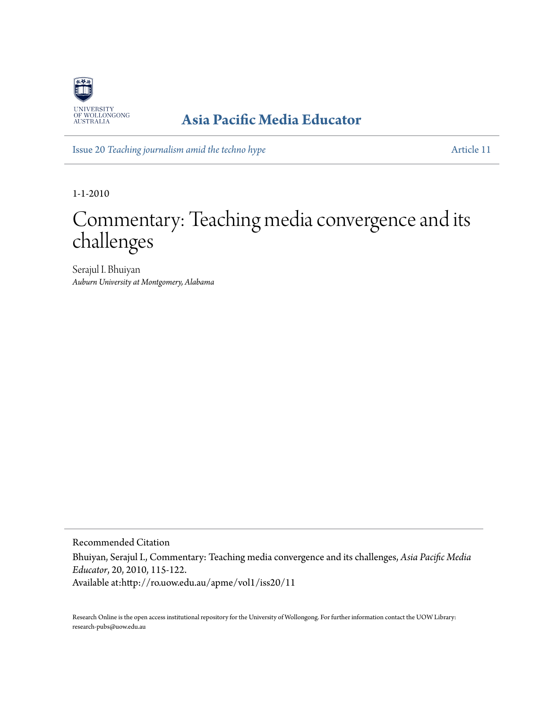

### **[Asia Pacific Media Educator](http://ro.uow.edu.au/apme)**

Issue 20 *[Teaching journalism amid the techno hype](http://ro.uow.edu.au/apme/vol1/iss20)* [Article 11](http://ro.uow.edu.au/apme/vol1/iss20/11)

1-1-2010

# Commentary: Teaching media convergence and its challenges

Serajul I. Bhuiyan *Auburn University at Montgomery, Alabama*

Recommended Citation

Bhuiyan, Serajul I., Commentary: Teaching media convergence and its challenges, *Asia Pacific Media Educator*, 20, 2010, 115-122.

Available at:http://ro.uow.edu.au/apme/vol1/iss20/11

Research Online is the open access institutional repository for the University of Wollongong. For further information contact the UOW Library: research-pubs@uow.edu.au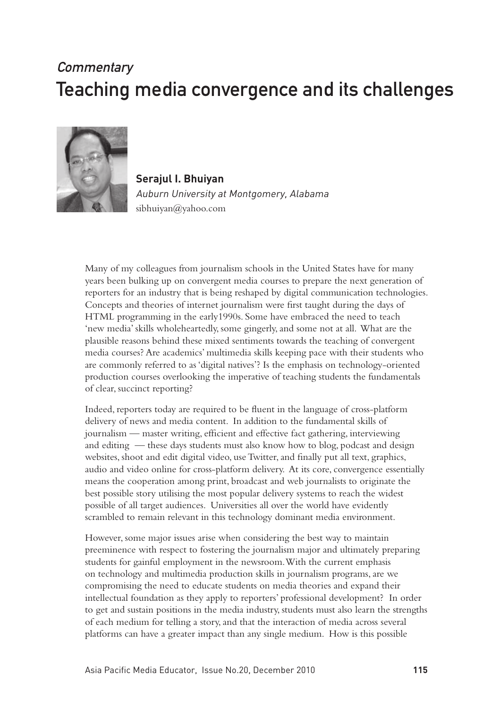## **Commentary** Teaching media convergence and its challenges



**Serajul I. Bhuiyan** Auburn University at Montgomery, Alabama sibhuiyan@yahoo.com

Many of my colleagues from journalism schools in the United States have for many years been bulking up on convergent media courses to prepare the next generation of reporters for an industry that is being reshaped by digital communication technologies. Concepts and theories of internet journalism were first taught during the days of HTML programming in the early1990s. Some have embraced the need to teach 'new media' skills wholeheartedly, some gingerly, and some not at all. What are the plausible reasons behind these mixed sentiments towards the teaching of convergent media courses? Are academics' multimedia skills keeping pace with their students who are commonly referred to as 'digital natives'? Is the emphasis on technology-oriented production courses overlooking the imperative of teaching students the fundamentals of clear, succinct reporting?

Indeed, reporters today are required to be fluent in the language of cross-platform delivery of news and media content. In addition to the fundamental skills of journalism — master writing, efficient and effective fact gathering, interviewing and editing — these days students must also know how to blog, podcast and design websites, shoot and edit digital video, use Twitter, and finally put all text, graphics, audio and video online for cross-platform delivery. At its core, convergence essentially means the cooperation among print, broadcast and web journalists to originate the best possible story utilising the most popular delivery systems to reach the widest possible of all target audiences. Universities all over the world have evidently scrambled to remain relevant in this technology dominant media environment.

However, some major issues arise when considering the best way to maintain preeminence with respect to fostering the journalism major and ultimately preparing students for gainful employment in the newsroom. With the current emphasis on technology and multimedia production skills in journalism programs, are we compromising the need to educate students on media theories and expand their intellectual foundation as they apply to reporters' professional development? In order to get and sustain positions in the media industry, students must also learn the strengths of each medium for telling a story, and that the interaction of media across several platforms can have a greater impact than any single medium. How is this possible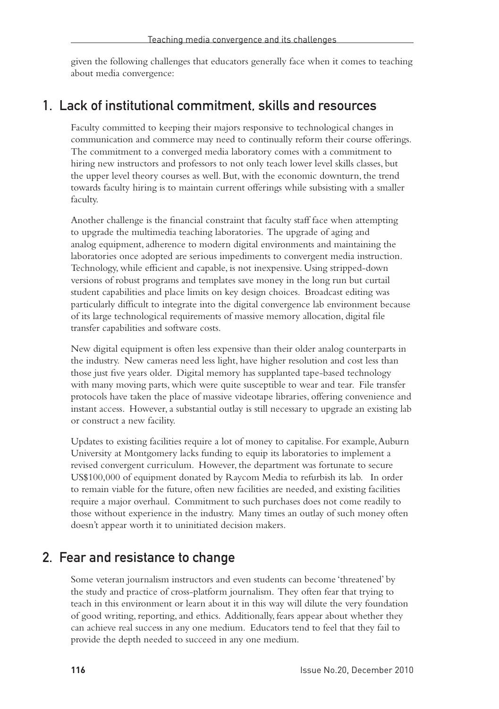given the following challenges that educators generally face when it comes to teaching about media convergence:

#### 1. Lack of institutional commitment, skills and resources

Faculty committed to keeping their majors responsive to technological changes in communication and commerce may need to continually reform their course offerings. The commitment to a converged media laboratory comes with a commitment to hiring new instructors and professors to not only teach lower level skills classes, but the upper level theory courses as well. But, with the economic downturn, the trend towards faculty hiring is to maintain current offerings while subsisting with a smaller faculty.

Another challenge is the financial constraint that faculty staff face when attempting to upgrade the multimedia teaching laboratories. The upgrade of aging and analog equipment, adherence to modern digital environments and maintaining the laboratories once adopted are serious impediments to convergent media instruction. Technology, while efficient and capable, is not inexpensive. Using stripped-down versions of robust programs and templates save money in the long run but curtail student capabilities and place limits on key design choices. Broadcast editing was particularly difficult to integrate into the digital convergence lab environment because of its large technological requirements of massive memory allocation, digital file transfer capabilities and software costs.

New digital equipment is often less expensive than their older analog counterparts in the industry. New cameras need less light, have higher resolution and cost less than those just five years older. Digital memory has supplanted tape-based technology with many moving parts, which were quite susceptible to wear and tear. File transfer protocols have taken the place of massive videotape libraries, offering convenience and instant access. However, a substantial outlay is still necessary to upgrade an existing lab or construct a new facility.

Updates to existing facilities require a lot of money to capitalise. For example, Auburn University at Montgomery lacks funding to equip its laboratories to implement a revised convergent curriculum. However, the department was fortunate to secure US\$100,000 of equipment donated by Raycom Media to refurbish its lab. In order to remain viable for the future, often new facilities are needed, and existing facilities require a major overhaul. Commitment to such purchases does not come readily to those without experience in the industry. Many times an outlay of such money often doesn't appear worth it to uninitiated decision makers.

#### 2. Fear and resistance to change

Some veteran journalism instructors and even students can become 'threatened' by the study and practice of cross-platform journalism. They often fear that trying to teach in this environment or learn about it in this way will dilute the very foundation of good writing, reporting, and ethics. Additionally, fears appear about whether they can achieve real success in any one medium. Educators tend to feel that they fail to provide the depth needed to succeed in any one medium.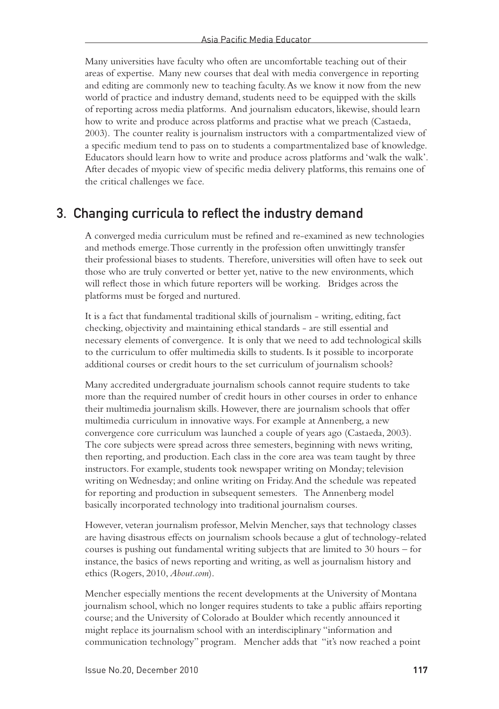Many universities have faculty who often are uncomfortable teaching out of their areas of expertise. Many new courses that deal with media convergence in reporting and editing are commonly new to teaching faculty. As we know it now from the new world of practice and industry demand, students need to be equipped with the skills of reporting across media platforms. And journalism educators, likewise, should learn how to write and produce across platforms and practise what we preach (Castaeda, 2003). The counter reality is journalism instructors with a compartmentalized view of a specific medium tend to pass on to students a compartmentalized base of knowledge. Educators should learn how to write and produce across platforms and 'walk the walk'. After decades of myopic view of specific media delivery platforms, this remains one of the critical challenges we face.

#### 3. Changing curricula to reflect the industry demand

A converged media curriculum must be refined and re-examined as new technologies and methods emerge. Those currently in the profession often unwittingly transfer their professional biases to students. Therefore, universities will often have to seek out those who are truly converted or better yet, native to the new environments, which will reflect those in which future reporters will be working. Bridges across the platforms must be forged and nurtured.

It is a fact that fundamental traditional skills of journalism - writing, editing, fact checking, objectivity and maintaining ethical standards - are still essential and necessary elements of convergence. It is only that we need to add technological skills to the curriculum to offer multimedia skills to students. Is it possible to incorporate additional courses or credit hours to the set curriculum of journalism schools?

Many accredited undergraduate journalism schools cannot require students to take more than the required number of credit hours in other courses in order to enhance their multimedia journalism skills. However, there are journalism schools that offer multimedia curriculum in innovative ways. For example at Annenberg, a new convergence core curriculum was launched a couple of years ago (Castaeda, 2003). The core subjects were spread across three semesters, beginning with news writing, then reporting, and production. Each class in the core area was team taught by three instructors. For example, students took newspaper writing on Monday; television writing on Wednesday; and online writing on Friday. And the schedule was repeated for reporting and production in subsequent semesters. The Annenberg model basically incorporated technology into traditional journalism courses.

However, veteran journalism professor, Melvin Mencher, says that technology classes are having disastrous effects on journalism schools because a glut of technology-related courses is pushing out fundamental writing subjects that are limited to 30 hours – for instance, the basics of news reporting and writing, as well as journalism history and ethics (Rogers, 2010, *About.com*).

Mencher especially mentions the recent developments at the University of Montana journalism school, which no longer requires students to take a public affairs reporting course; and the University of Colorado at Boulder which recently announced it might replace its journalism school with an interdisciplinary "information and communication technology" program. Mencher adds that "it's now reached a point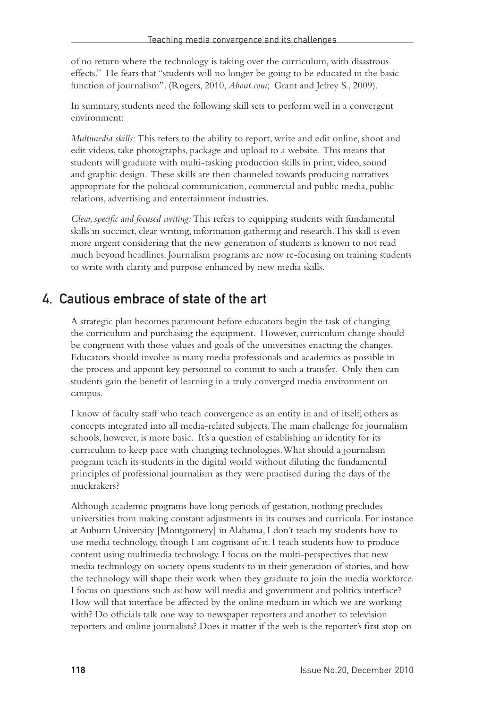of no return where the technology is taking over the curriculum, with disastrous effects." He fears that "students will no longer be going to be educated in the basic function of journalism". (Rogers, 2010, *About.com*; Grant and Jefrey S., 2009).

In summary, students need the following skill sets to perform well in a convergent environment:

*Multimedia skills:* This refers to the ability to report, write and edit online, shoot and edit videos, take photographs, package and upload to a website. This means that students will graduate with multi-tasking production skills in print, video, sound and graphic design. These skills are then channeled towards producing narratives appropriate for the political communication, commercial and public media, public relations, advertising and entertainment industries.

*Clear, specific and focused writing:* This refers to equipping students with fundamental skills in succinct, clear writing, information gathering and research. This skill is even more urgent considering that the new generation of students is known to not read much beyond headlines. Journalism programs are now re-focusing on training students to write with clarity and purpose enhanced by new media skills.

#### 4. Cautious embrace of state of the art

A strategic plan becomes paramount before educators begin the task of changing the curriculum and purchasing the equipment. However, curriculum change should be congruent with those values and goals of the universities enacting the changes. Educators should involve as many media professionals and academics as possible in the process and appoint key personnel to commit to such a transfer. Only then can students gain the benefit of learning in a truly converged media environment on campus.

I know of faculty staff who teach convergence as an entity in and of itself; others as concepts integrated into all media-related subjects. The main challenge for journalism schools, however, is more basic. It's a question of establishing an identity for its curriculum to keep pace with changing technologies. What should a journalism program teach its students in the digital world without diluting the fundamental principles of professional journalism as they were practised during the days of the muckrakers?

Although academic programs have long periods of gestation, nothing precludes universities from making constant adjustments in its courses and curricula. For instance at Auburn University [Montgomery] in Alabama, I don't teach my students how to use media technology, though I am cognisant of it. I teach students how to produce content using multimedia technology. I focus on the multi-perspectives that new media technology on society opens students to in their generation of stories, and how the technology will shape their work when they graduate to join the media workforce. I focus on questions such as: how will media and government and politics interface? How will that interface be affected by the online medium in which we are working with? Do officials talk one way to newspaper reporters and another to television reporters and online journalists? Does it matter if the web is the reporter's first stop on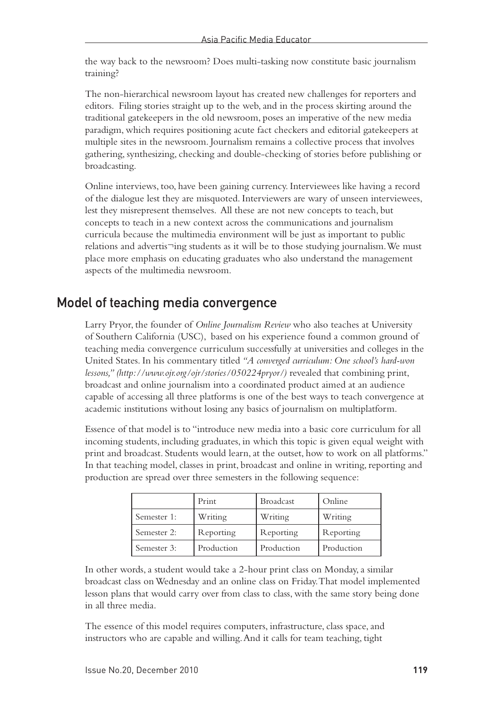the way back to the newsroom? Does multi-tasking now constitute basic journalism training?

The non-hierarchical newsroom layout has created new challenges for reporters and editors. Filing stories straight up to the web, and in the process skirting around the traditional gatekeepers in the old newsroom, poses an imperative of the new media paradigm, which requires positioning acute fact checkers and editorial gatekeepers at multiple sites in the newsroom. Journalism remains a collective process that involves gathering, synthesizing, checking and double-checking of stories before publishing or broadcasting.

Online interviews, too, have been gaining currency. Interviewees like having a record of the dialogue lest they are misquoted. Interviewers are wary of unseen interviewees, lest they misrepresent themselves. All these are not new concepts to teach, but concepts to teach in a new context across the communications and journalism curricula because the multimedia environment will be just as important to public relations and advertis¬ing students as it will be to those studying journalism. We must place more emphasis on educating graduates who also understand the management aspects of the multimedia newsroom.

#### Model of teaching media convergence

Larry Pryor, the founder of *Online Journalism Review* who also teaches at University of Southern California (USC), based on his experience found a common ground of teaching media convergence curriculum successfully at universities and colleges in the United States. In his commentary titled *"A converged curriculum: One school's hard-won lessons," (http://www.ojr.org/ojr/stories/050224pryor/)* revealed that combining print, broadcast and online journalism into a coordinated product aimed at an audience capable of accessing all three platforms is one of the best ways to teach convergence at academic institutions without losing any basics of journalism on multiplatform.

Essence of that model is to "introduce new media into a basic core curriculum for all incoming students, including graduates, in which this topic is given equal weight with print and broadcast. Students would learn, at the outset, how to work on all platforms." In that teaching model, classes in print, broadcast and online in writing, reporting and production are spread over three semesters in the following sequence:

|             | Print      | <b>Broadcast</b> | Online     |
|-------------|------------|------------------|------------|
| Semester 1: | Writing    | Writing          | Writing    |
| Semester 2: | Reporting  | Reporting        | Reporting  |
| Semester 3: | Production | Production       | Production |

In other words, a student would take a 2-hour print class on Monday, a similar broadcast class on Wednesday and an online class on Friday. That model implemented lesson plans that would carry over from class to class, with the same story being done in all three media.

The essence of this model requires computers, infrastructure, class space, and instructors who are capable and willing. And it calls for team teaching, tight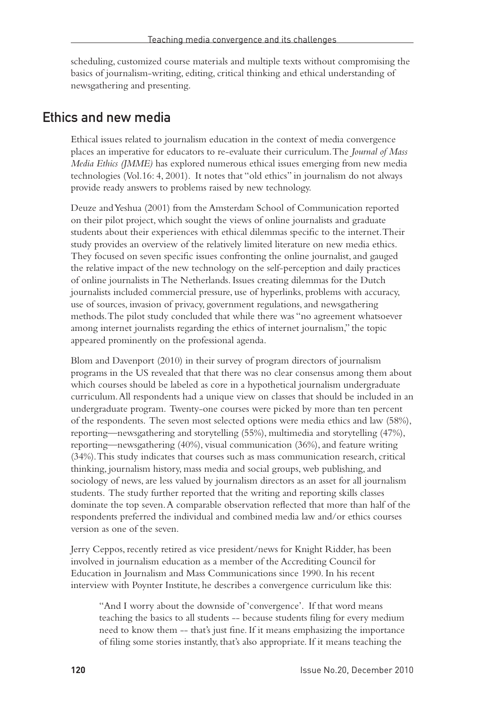scheduling, customized course materials and multiple texts without compromising the basics of journalism-writing, editing, critical thinking and ethical understanding of newsgathering and presenting.

#### Ethics and new media

Ethical issues related to journalism education in the context of media convergence places an imperative for educators to re-evaluate their curriculum. The *Journal of Mass Media Ethics (JMME)* has explored numerous ethical issues emerging from new media technologies (Vol.16: 4, 2001). It notes that "old ethics" in journalism do not always provide ready answers to problems raised by new technology.

Deuze and Yeshua (2001) from the Amsterdam School of Communication reported on their pilot project, which sought the views of online journalists and graduate students about their experiences with ethical dilemmas specific to the internet. Their study provides an overview of the relatively limited literature on new media ethics. They focused on seven specific issues confronting the online journalist, and gauged the relative impact of the new technology on the self-perception and daily practices of online journalists in The Netherlands. Issues creating dilemmas for the Dutch journalists included commercial pressure, use of hyperlinks, problems with accuracy, use of sources, invasion of privacy, government regulations, and newsgathering methods. The pilot study concluded that while there was "no agreement whatsoever among internet journalists regarding the ethics of internet journalism," the topic appeared prominently on the professional agenda.

Blom and Davenport (2010) in their survey of program directors of journalism programs in the US revealed that that there was no clear consensus among them about which courses should be labeled as core in a hypothetical journalism undergraduate curriculum. All respondents had a unique view on classes that should be included in an undergraduate program. Twenty-one courses were picked by more than ten percent of the respondents. The seven most selected options were media ethics and law (58%), reporting—newsgathering and storytelling (55%), multimedia and storytelling (47%), reporting—newsgathering (40%), visual communication (36%), and feature writing (34%). This study indicates that courses such as mass communication research, critical thinking, journalism history, mass media and social groups, web publishing, and sociology of news, are less valued by journalism directors as an asset for all journalism students. The study further reported that the writing and reporting skills classes dominate the top seven. A comparable observation reflected that more than half of the respondents preferred the individual and combined media law and/or ethics courses version as one of the seven.

Jerry Ceppos, recently retired as vice president/news for Knight Ridder, has been involved in journalism education as a member of the Accrediting Council for Education in Journalism and Mass Communications since 1990. In his recent interview with Poynter Institute, he describes a convergence curriculum like this:

"And I worry about the downside of 'convergence'. If that word means teaching the basics to all students -- because students filing for every medium need to know them -- that's just fine. If it means emphasizing the importance of filing some stories instantly, that's also appropriate. If it means teaching the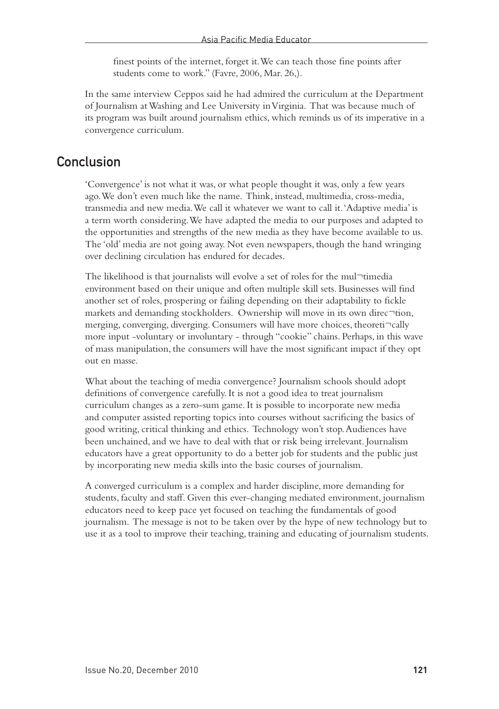finest points of the internet, forget it. We can teach those fine points after students come to work." (Favre, 2006, Mar. 26,).

In the same interview Ceppos said he had admired the curriculum at the Department of Journalism at Washing and Lee University in Virginia. That was because much of its program was built around journalism ethics, which reminds us of its imperative in a convergence curriculum.

#### Conclusion

'Convergence' is not what it was, or what people thought it was, only a few years ago. We don't even much like the name. Think, instead, multimedia, cross-media, transmedia and new media. We call it whatever we want to call it. 'Adaptive media' is a term worth considering. We have adapted the media to our purposes and adapted to the opportunities and strengths of the new media as they have become available to us. The 'old' media are not going away. Not even newspapers, though the hand wringing over declining circulation has endured for decades.

The likelihood is that journalists will evolve a set of roles for the mul¬timedia environment based on their unique and often multiple skill sets. Businesses will find another set of roles, prospering or failing depending on their adaptability to fickle markets and demanding stockholders. Ownership will move in its own direc $\neg$ tion, merging, converging, diverging. Consumers will have more choices, theoreti¬cally more input -voluntary or involuntary - through "cookie" chains. Perhaps, in this wave of mass manipulation, the consumers will have the most significant impact if they opt out en masse.

What about the teaching of media convergence? Journalism schools should adopt definitions of convergence carefully. It is not a good idea to treat journalism curriculum changes as a zero-sum game. It is possible to incorporate new media and computer assisted reporting topics into courses without sacrificing the basics of good writing, critical thinking and ethics. Technology won't stop. Audiences have been unchained, and we have to deal with that or risk being irrelevant. Journalism educators have a great opportunity to do a better job for students and the public just by incorporating new media skills into the basic courses of journalism.

A converged curriculum is a complex and harder discipline, more demanding for students, faculty and staff. Given this ever-changing mediated environment, journalism educators need to keep pace yet focused on teaching the fundamentals of good journalism. The message is not to be taken over by the hype of new technology but to use it as a tool to improve their teaching, training and educating of journalism students.